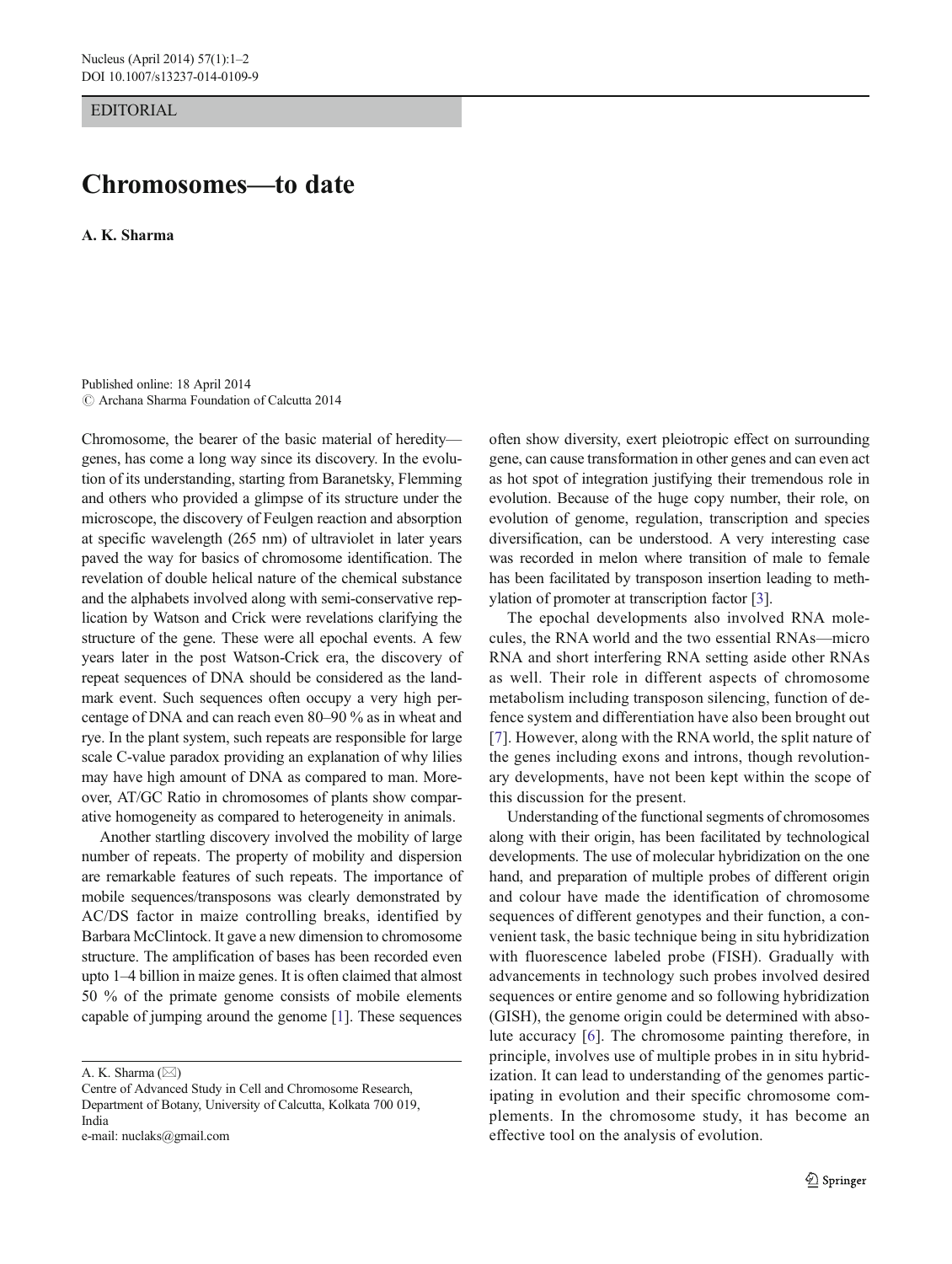EDITORIAL

## Chromosomes—to date

A. K. Sharma

Published online: 18 April 2014  $\circled{C}$  Archana Sharma Foundation of Calcutta 2014

Chromosome, the bearer of the basic material of heredity genes, has come a long way since its discovery. In the evolution of its understanding, starting from Baranetsky, Flemming and others who provided a glimpse of its structure under the microscope, the discovery of Feulgen reaction and absorption at specific wavelength (265 nm) of ultraviolet in later years paved the way for basics of chromosome identification. The revelation of double helical nature of the chemical substance and the alphabets involved along with semi-conservative replication by Watson and Crick were revelations clarifying the structure of the gene. These were all epochal events. A few years later in the post Watson-Crick era, the discovery of repeat sequences of DNA should be considered as the landmark event. Such sequences often occupy a very high percentage of DNA and can reach even 80–90 % as in wheat and rye. In the plant system, such repeats are responsible for large scale C-value paradox providing an explanation of why lilies may have high amount of DNA as compared to man. Moreover, AT/GC Ratio in chromosomes of plants show comparative homogeneity as compared to heterogeneity in animals.

Another startling discovery involved the mobility of large number of repeats. The property of mobility and dispersion are remarkable features of such repeats. The importance of mobile sequences/transposons was clearly demonstrated by AC/DS factor in maize controlling breaks, identified by Barbara McClintock. It gave a new dimension to chromosome structure. The amplification of bases has been recorded even upto 1–4 billion in maize genes. It is often claimed that almost 50 % of the primate genome consists of mobile elements capable of jumping around the genome [[1](#page-1-0)]. These sequences

A. K. Sharma  $(\boxtimes)$ 

often show diversity, exert pleiotropic effect on surrounding gene, can cause transformation in other genes and can even act as hot spot of integration justifying their tremendous role in evolution. Because of the huge copy number, their role, on evolution of genome, regulation, transcription and species diversification, can be understood. A very interesting case was recorded in melon where transition of male to female has been facilitated by transposon insertion leading to methylation of promoter at transcription factor [\[3](#page-1-0)].

The epochal developments also involved RNA molecules, the RNA world and the two essential RNAs—micro RNA and short interfering RNA setting aside other RNAs as well. Their role in different aspects of chromosome metabolism including transposon silencing, function of defence system and differentiation have also been brought out [\[7\]](#page-1-0). However, along with the RNA world, the split nature of the genes including exons and introns, though revolutionary developments, have not been kept within the scope of this discussion for the present.

Understanding of the functional segments of chromosomes along with their origin, has been facilitated by technological developments. The use of molecular hybridization on the one hand, and preparation of multiple probes of different origin and colour have made the identification of chromosome sequences of different genotypes and their function, a convenient task, the basic technique being in situ hybridization with fluorescence labeled probe (FISH). Gradually with advancements in technology such probes involved desired sequences or entire genome and so following hybridization (GISH), the genome origin could be determined with absolute accuracy [[6\]](#page-1-0). The chromosome painting therefore, in principle, involves use of multiple probes in in situ hybridization. It can lead to understanding of the genomes participating in evolution and their specific chromosome complements. In the chromosome study, it has become an effective tool on the analysis of evolution.

Centre of Advanced Study in Cell and Chromosome Research, Department of Botany, University of Calcutta, Kolkata 700 019, India

e-mail: nuclaks@gmail.com